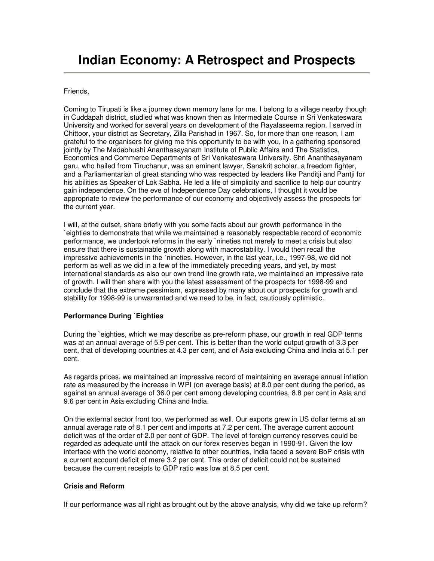# **Indian Economy: A Retrospect and Prospects**

#### Friends,

Coming to Tirupati is like a journey down memory lane for me. I belong to a village nearby though in Cuddapah district, studied what was known then as Intermediate Course in Sri Venkateswara University and worked for several years on development of the Rayalaseema region. I served in Chittoor, your district as Secretary, Zilla Parishad in 1967. So, for more than one reason, I am grateful to the organisers for giving me this opportunity to be with you, in a gathering sponsored jointly by The Madabhushi Ananthasayanam Institute of Public Affairs and The Statistics, Economics and Commerce Departments of Sri Venkateswara University. Shri Ananthasayanam garu, who hailed from Tiruchanur, was an eminent lawyer, Sanskrit scholar, a freedom fighter, and a Parliamentarian of great standing who was respected by leaders like Panditji and Pantji for his abilities as Speaker of Lok Sabha. He led a life of simplicity and sacrifice to help our country gain independence. On the eve of Independence Day celebrations, I thought it would be appropriate to review the performance of our economy and objectively assess the prospects for the current year.

I will, at the outset, share briefly with you some facts about our growth performance in the `eighties to demonstrate that while we maintained a reasonably respectable record of economic performance, we undertook reforms in the early `nineties not merely to meet a crisis but also ensure that there is sustainable growth along with macrostability. I would then recall the impressive achievements in the `nineties. However, in the last year, i.e., 1997-98, we did not perform as well as we did in a few of the immediately preceding years, and yet, by most international standards as also our own trend line growth rate, we maintained an impressive rate of growth. I will then share with you the latest assessment of the prospects for 1998-99 and conclude that the extreme pessimism, expressed by many about our prospects for growth and stability for 1998-99 is unwarranted and we need to be, in fact, cautiously optimistic.

## **Performance During `Eighties**

During the `eighties, which we may describe as pre-reform phase, our growth in real GDP terms was at an annual average of 5.9 per cent. This is better than the world output growth of 3.3 per cent, that of developing countries at 4.3 per cent, and of Asia excluding China and India at 5.1 per cent.

As regards prices, we maintained an impressive record of maintaining an average annual inflation rate as measured by the increase in WPI (on average basis) at 8.0 per cent during the period, as against an annual average of 36.0 per cent among developing countries, 8.8 per cent in Asia and 9.6 per cent in Asia excluding China and India.

On the external sector front too, we performed as well. Our exports grew in US dollar terms at an annual average rate of 8.1 per cent and imports at 7.2 per cent. The average current account deficit was of the order of 2.0 per cent of GDP. The level of foreign currency reserves could be regarded as adequate until the attack on our forex reserves began in 1990-91. Given the low interface with the world economy, relative to other countries, India faced a severe BoP crisis with a current account deficit of mere 3.2 per cent. This order of deficit could not be sustained because the current receipts to GDP ratio was low at 8.5 per cent.

## **Crisis and Reform**

If our performance was all right as brought out by the above analysis, why did we take up reform?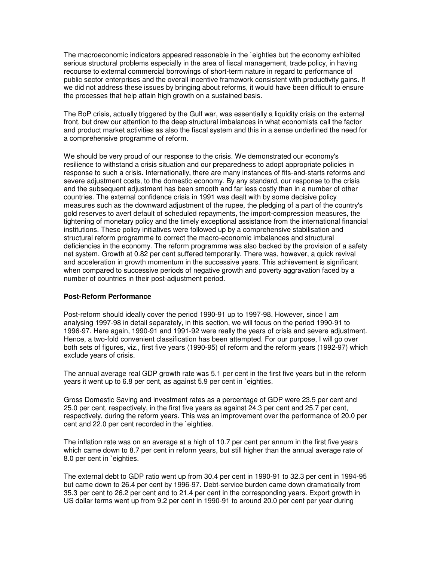The macroeconomic indicators appeared reasonable in the `eighties but the economy exhibited serious structural problems especially in the area of fiscal management, trade policy, in having recourse to external commercial borrowings of short-term nature in regard to performance of public sector enterprises and the overall incentive framework consistent with productivity gains. If we did not address these issues by bringing about reforms, it would have been difficult to ensure the processes that help attain high growth on a sustained basis.

The BoP crisis, actually triggered by the Gulf war, was essentially a liquidity crisis on the external front, but drew our attention to the deep structural imbalances in what economists call the factor and product market activities as also the fiscal system and this in a sense underlined the need for a comprehensive programme of reform.

We should be very proud of our response to the crisis. We demonstrated our economy's resilience to withstand a crisis situation and our preparedness to adopt appropriate policies in response to such a crisis. Internationally, there are many instances of fits-and-starts reforms and severe adjustment costs, to the domestic economy. By any standard, our response to the crisis and the subsequent adjustment has been smooth and far less costly than in a number of other countries. The external confidence crisis in 1991 was dealt with by some decisive policy measures such as the downward adjustment of the rupee, the pledging of a part of the country's gold reserves to avert default of scheduled repayments, the import-compression measures, the tightening of monetary policy and the timely exceptional assistance from the international financial institutions. These policy initiatives were followed up by a comprehensive stabilisation and structural reform programme to correct the macro-economic imbalances and structural deficiencies in the economy. The reform programme was also backed by the provision of a safety net system. Growth at 0.82 per cent suffered temporarily. There was, however, a quick revival and acceleration in growth momentum in the successive years. This achievement is significant when compared to successive periods of negative growth and poverty aggravation faced by a number of countries in their post-adjustment period.

## **Post-Reform Performance**

Post-reform should ideally cover the period 1990-91 up to 1997-98. However, since I am analysing 1997-98 in detail separately, in this section, we will focus on the period 1990-91 to 1996-97. Here again, 1990-91 and 1991-92 were really the years of crisis and severe adjustment. Hence, a two-fold convenient classification has been attempted. For our purpose, I will go over both sets of figures, viz., first five years (1990-95) of reform and the reform years (1992-97) which exclude years of crisis.

The annual average real GDP growth rate was 5.1 per cent in the first five years but in the reform years it went up to 6.8 per cent, as against 5.9 per cent in `eighties.

Gross Domestic Saving and investment rates as a percentage of GDP were 23.5 per cent and 25.0 per cent, respectively, in the first five years as against 24.3 per cent and 25.7 per cent, respectively, during the reform years. This was an improvement over the performance of 20.0 per cent and 22.0 per cent recorded in the `eighties.

The inflation rate was on an average at a high of 10.7 per cent per annum in the first five years which came down to 8.7 per cent in reform years, but still higher than the annual average rate of 8.0 per cent in `eighties.

The external debt to GDP ratio went up from 30.4 per cent in 1990-91 to 32.3 per cent in 1994-95 but came down to 26.4 per cent by 1996-97. Debt-service burden came down dramatically from 35.3 per cent to 26.2 per cent and to 21.4 per cent in the corresponding years. Export growth in US dollar terms went up from 9.2 per cent in 1990-91 to around 20.0 per cent per year during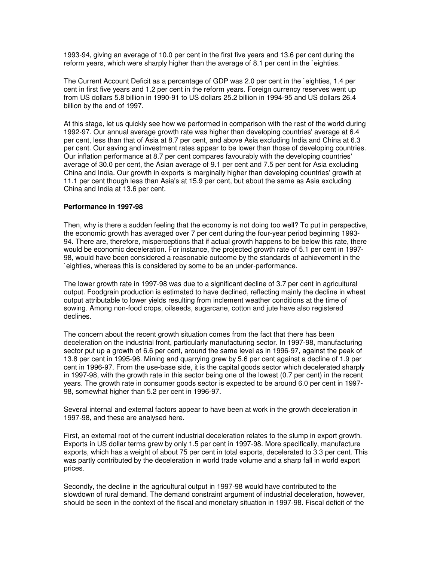1993-94, giving an average of 10.0 per cent in the first five years and 13.6 per cent during the reform years, which were sharply higher than the average of 8.1 per cent in the `eighties.

The Current Account Deficit as a percentage of GDP was 2.0 per cent in the `eighties, 1.4 per cent in first five years and 1.2 per cent in the reform years. Foreign currency reserves went up from US dollars 5.8 billion in 1990-91 to US dollars 25.2 billion in 1994-95 and US dollars 26.4 billion by the end of 1997.

At this stage, let us quickly see how we performed in comparison with the rest of the world during 1992-97. Our annual average growth rate was higher than developing countries' average at 6.4 per cent, less than that of Asia at 8.7 per cent, and above Asia excluding India and China at 6.3 per cent. Our saving and investment rates appear to be lower than those of developing countries. Our inflation performance at 8.7 per cent compares favourably with the developing countries' average of 30.0 per cent, the Asian average of 9.1 per cent and 7.5 per cent for Asia excluding China and India. Our growth in exports is marginally higher than developing countries' growth at 11.1 per cent though less than Asia's at 15.9 per cent, but about the same as Asia excluding China and India at 13.6 per cent.

#### **Performance in 1997-98**

Then, why is there a sudden feeling that the economy is not doing too well? To put in perspective, the economic growth has averaged over 7 per cent during the four-year period beginning 1993- 94. There are, therefore, misperceptions that if actual growth happens to be below this rate, there would be economic deceleration. For instance, the projected growth rate of 5.1 per cent in 1997- 98, would have been considered a reasonable outcome by the standards of achievement in the `eighties, whereas this is considered by some to be an under-performance.

The lower growth rate in 1997-98 was due to a significant decline of 3.7 per cent in agricultural output. Foodgrain production is estimated to have declined, reflecting mainly the decline in wheat output attributable to lower yields resulting from inclement weather conditions at the time of sowing. Among non-food crops, oilseeds, sugarcane, cotton and jute have also registered declines.

The concern about the recent growth situation comes from the fact that there has been deceleration on the industrial front, particularly manufacturing sector. In 1997-98, manufacturing sector put up a growth of 6.6 per cent, around the same level as in 1996-97, against the peak of 13.8 per cent in 1995-96. Mining and quarrying grew by 5.6 per cent against a decline of 1.9 per cent in 1996-97. From the use-base side, it is the capital goods sector which decelerated sharply in 1997-98, with the growth rate in this sector being one of the lowest (0.7 per cent) in the recent years. The growth rate in consumer goods sector is expected to be around 6.0 per cent in 1997- 98, somewhat higher than 5.2 per cent in 1996-97.

Several internal and external factors appear to have been at work in the growth deceleration in 1997-98, and these are analysed here.

First, an external root of the current industrial deceleration relates to the slump in export growth. Exports in US dollar terms grew by only 1.5 per cent in 1997-98. More specifically, manufacture exports, which has a weight of about 75 per cent in total exports, decelerated to 3.3 per cent. This was partly contributed by the deceleration in world trade volume and a sharp fall in world export prices.

Secondly, the decline in the agricultural output in 1997-98 would have contributed to the slowdown of rural demand. The demand constraint argument of industrial deceleration, however, should be seen in the context of the fiscal and monetary situation in 1997-98. Fiscal deficit of the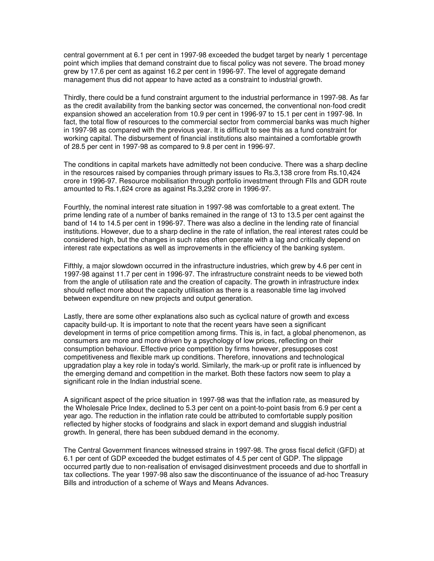central government at 6.1 per cent in 1997-98 exceeded the budget target by nearly 1 percentage point which implies that demand constraint due to fiscal policy was not severe. The broad money grew by 17.6 per cent as against 16.2 per cent in 1996-97. The level of aggregate demand management thus did not appear to have acted as a constraint to industrial growth.

Thirdly, there could be a fund constraint argument to the industrial performance in 1997-98. As far as the credit availability from the banking sector was concerned, the conventional non-food credit expansion showed an acceleration from 10.9 per cent in 1996-97 to 15.1 per cent in 1997-98. In fact, the total flow of resources to the commercial sector from commercial banks was much higher in 1997-98 as compared with the previous year. It is difficult to see this as a fund constraint for working capital. The disbursement of financial institutions also maintained a comfortable growth of 28.5 per cent in 1997-98 as compared to 9.8 per cent in 1996-97.

The conditions in capital markets have admittedly not been conducive. There was a sharp decline in the resources raised by companies through primary issues to Rs.3,138 crore from Rs.10,424 crore in 1996-97. Resource mobilisation through portfolio investment through FIIs and GDR route amounted to Rs.1,624 crore as against Rs.3,292 crore in 1996-97.

Fourthly, the nominal interest rate situation in 1997-98 was comfortable to a great extent. The prime lending rate of a number of banks remained in the range of 13 to 13.5 per cent against the band of 14 to 14.5 per cent in 1996-97. There was also a decline in the lending rate of financial institutions. However, due to a sharp decline in the rate of inflation, the real interest rates could be considered high, but the changes in such rates often operate with a lag and critically depend on interest rate expectations as well as improvements in the efficiency of the banking system.

Fifthly, a major slowdown occurred in the infrastructure industries, which grew by 4.6 per cent in 1997-98 against 11.7 per cent in 1996-97. The infrastructure constraint needs to be viewed both from the angle of utilisation rate and the creation of capacity. The growth in infrastructure index should reflect more about the capacity utilisation as there is a reasonable time lag involved between expenditure on new projects and output generation.

Lastly, there are some other explanations also such as cyclical nature of growth and excess capacity build-up. It is important to note that the recent years have seen a significant development in terms of price competition among firms. This is, in fact, a global phenomenon, as consumers are more and more driven by a psychology of low prices, reflecting on their consumption behaviour. Effective price competition by firms however, presupposes cost competitiveness and flexible mark up conditions. Therefore, innovations and technological upgradation play a key role in today's world. Similarly, the mark-up or profit rate is influenced by the emerging demand and competition in the market. Both these factors now seem to play a significant role in the Indian industrial scene.

A significant aspect of the price situation in 1997-98 was that the inflation rate, as measured by the Wholesale Price Index, declined to 5.3 per cent on a point-to-point basis from 6.9 per cent a year ago. The reduction in the inflation rate could be attributed to comfortable supply position reflected by higher stocks of foodgrains and slack in export demand and sluggish industrial growth. In general, there has been subdued demand in the economy.

The Central Government finances witnessed strains in 1997-98. The gross fiscal deficit (GFD) at 6.1 per cent of GDP exceeded the budget estimates of 4.5 per cent of GDP. The slippage occurred partly due to non-realisation of envisaged disinvestment proceeds and due to shortfall in tax collections. The year 1997-98 also saw the discontinuance of the issuance of ad-hoc Treasury Bills and introduction of a scheme of Ways and Means Advances.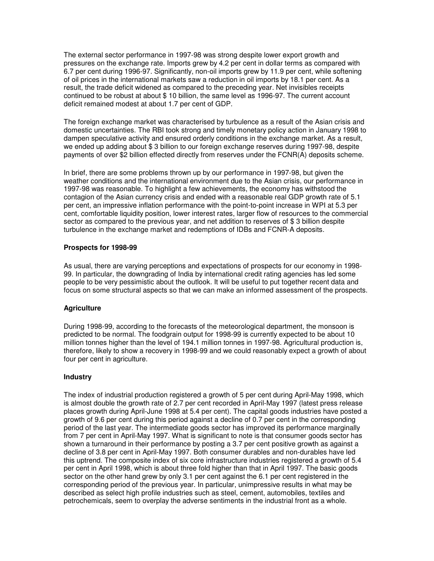The external sector performance in 1997-98 was strong despite lower export growth and pressures on the exchange rate. Imports grew by 4.2 per cent in dollar terms as compared with 6.7 per cent during 1996-97. Significantly, non-oil imports grew by 11.9 per cent, while softening of oil prices in the international markets saw a reduction in oil imports by 18.1 per cent. As a result, the trade deficit widened as compared to the preceding year. Net invisibles receipts continued to be robust at about \$ 10 billion, the same level as 1996-97. The current account deficit remained modest at about 1.7 per cent of GDP.

The foreign exchange market was characterised by turbulence as a result of the Asian crisis and domestic uncertainties. The RBI took strong and timely monetary policy action in January 1998 to dampen speculative activity and ensured orderly conditions in the exchange market. As a result, we ended up adding about \$ 3 billion to our foreign exchange reserves during 1997-98, despite payments of over \$2 billion effected directly from reserves under the FCNR(A) deposits scheme.

In brief, there are some problems thrown up by our performance in 1997-98, but given the weather conditions and the international environment due to the Asian crisis, our performance in 1997-98 was reasonable. To highlight a few achievements, the economy has withstood the contagion of the Asian currency crisis and ended with a reasonable real GDP growth rate of 5.1 per cent, an impressive inflation performance with the point-to-point increase in WPI at 5.3 per cent, comfortable liquidity position, lower interest rates, larger flow of resources to the commercial sector as compared to the previous year, and net addition to reserves of \$ 3 billion despite turbulence in the exchange market and redemptions of IDBs and FCNR-A deposits.

## **Prospects for 1998-99**

As usual, there are varying perceptions and expectations of prospects for our economy in 1998- 99. In particular, the downgrading of India by international credit rating agencies has led some people to be very pessimistic about the outlook. It will be useful to put together recent data and focus on some structural aspects so that we can make an informed assessment of the prospects.

# **Agriculture**

During 1998-99, according to the forecasts of the meteorological department, the monsoon is predicted to be normal. The foodgrain output for 1998-99 is currently expected to be about 10 million tonnes higher than the level of 194.1 million tonnes in 1997-98. Agricultural production is, therefore, likely to show a recovery in 1998-99 and we could reasonably expect a growth of about four per cent in agriculture.

## **Industry**

The index of industrial production registered a growth of 5 per cent during April-May 1998, which is almost double the growth rate of 2.7 per cent recorded in April-May 1997 (latest press release places growth during April-June 1998 at 5.4 per cent). The capital goods industries have posted a growth of 9.6 per cent during this period against a decline of 0.7 per cent in the corresponding period of the last year. The intermediate goods sector has improved its performance marginally from 7 per cent in April-May 1997. What is significant to note is that consumer goods sector has shown a turnaround in their performance by posting a 3.7 per cent positive growth as against a decline of 3.8 per cent in April-May 1997. Both consumer durables and non-durables have led this uptrend. The composite index of six core infrastructure industries registered a growth of 5.4 per cent in April 1998, which is about three fold higher than that in April 1997. The basic goods sector on the other hand grew by only 3.1 per cent against the 6.1 per cent registered in the corresponding period of the previous year. In particular, unimpressive results in what may be described as select high profile industries such as steel, cement, automobiles, textiles and petrochemicals, seem to overplay the adverse sentiments in the industrial front as a whole.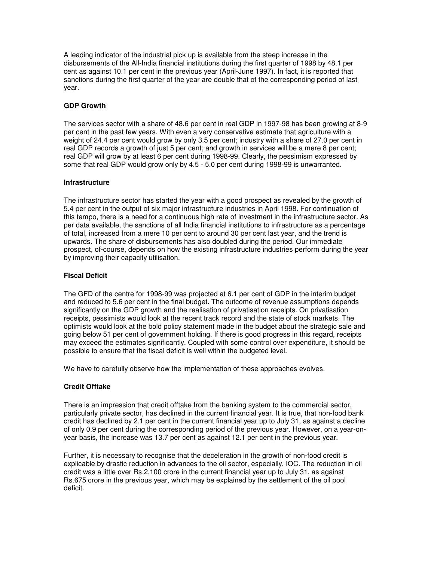A leading indicator of the industrial pick up is available from the steep increase in the disbursements of the All-India financial institutions during the first quarter of 1998 by 48.1 per cent as against 10.1 per cent in the previous year (April-June 1997). In fact, it is reported that sanctions during the first quarter of the year are double that of the corresponding period of last year.

## **GDP Growth**

The services sector with a share of 48.6 per cent in real GDP in 1997-98 has been growing at 8-9 per cent in the past few years. With even a very conservative estimate that agriculture with a weight of 24.4 per cent would grow by only 3.5 per cent; industry with a share of 27.0 per cent in real GDP records a growth of just 5 per cent; and growth in services will be a mere 8 per cent; real GDP will grow by at least 6 per cent during 1998-99. Clearly, the pessimism expressed by some that real GDP would grow only by 4.5 - 5.0 per cent during 1998-99 is unwarranted.

## **Infrastructure**

The infrastructure sector has started the year with a good prospect as revealed by the growth of 5.4 per cent in the output of six major infrastructure industries in April 1998. For continuation of this tempo, there is a need for a continuous high rate of investment in the infrastructure sector. As per data available, the sanctions of all India financial institutions to infrastructure as a percentage of total, increased from a mere 10 per cent to around 30 per cent last year, and the trend is upwards. The share of disbursements has also doubled during the period. Our immediate prospect, of-course, depends on how the existing infrastructure industries perform during the year by improving their capacity utilisation.

## **Fiscal Deficit**

The GFD of the centre for 1998-99 was projected at 6.1 per cent of GDP in the interim budget and reduced to 5.6 per cent in the final budget. The outcome of revenue assumptions depends significantly on the GDP growth and the realisation of privatisation receipts. On privatisation receipts, pessimists would look at the recent track record and the state of stock markets. The optimists would look at the bold policy statement made in the budget about the strategic sale and going below 51 per cent of government holding. If there is good progress in this regard, receipts may exceed the estimates significantly. Coupled with some control over expenditure, it should be possible to ensure that the fiscal deficit is well within the budgeted level.

We have to carefully observe how the implementation of these approaches evolves.

# **Credit Offtake**

There is an impression that credit offtake from the banking system to the commercial sector, particularly private sector, has declined in the current financial year. It is true, that non-food bank credit has declined by 2.1 per cent in the current financial year up to July 31, as against a decline of only 0.9 per cent during the corresponding period of the previous year. However, on a year-onyear basis, the increase was 13.7 per cent as against 12.1 per cent in the previous year.

Further, it is necessary to recognise that the deceleration in the growth of non-food credit is explicable by drastic reduction in advances to the oil sector, especially, IOC. The reduction in oil credit was a little over Rs.2,100 crore in the current financial year up to July 31, as against Rs.675 crore in the previous year, which may be explained by the settlement of the oil pool deficit.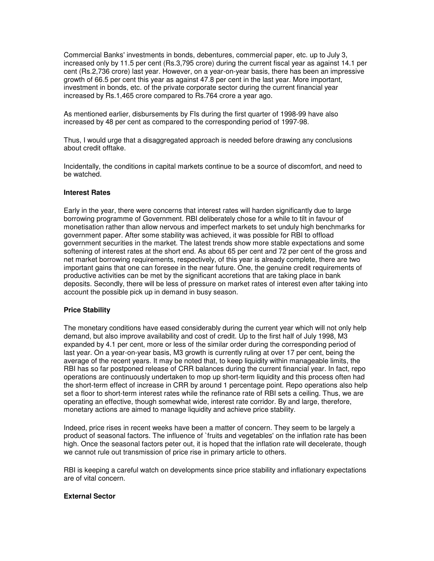Commercial Banks' investments in bonds, debentures, commercial paper, etc. up to July 3, increased only by 11.5 per cent (Rs.3,795 crore) during the current fiscal year as against 14.1 per cent (Rs.2,736 crore) last year. However, on a year-on-year basis, there has been an impressive growth of 66.5 per cent this year as against 47.8 per cent in the last year. More important, investment in bonds, etc. of the private corporate sector during the current financial year increased by Rs.1,465 crore compared to Rs.764 crore a year ago.

As mentioned earlier, disbursements by FIs during the first quarter of 1998-99 have also increased by 48 per cent as compared to the corresponding period of 1997-98.

Thus, I would urge that a disaggregated approach is needed before drawing any conclusions about credit offtake.

Incidentally, the conditions in capital markets continue to be a source of discomfort, and need to be watched.

## **Interest Rates**

Early in the year, there were concerns that interest rates will harden significantly due to large borrowing programme of Government. RBI deliberately chose for a while to tilt in favour of monetisation rather than allow nervous and imperfect markets to set unduly high benchmarks for government paper. After some stability was achieved, it was possible for RBI to offload government securities in the market. The latest trends show more stable expectations and some softening of interest rates at the short end. As about 65 per cent and 72 per cent of the gross and net market borrowing requirements, respectively, of this year is already complete, there are two important gains that one can foresee in the near future. One, the genuine credit requirements of productive activities can be met by the significant accretions that are taking place in bank deposits. Secondly, there will be less of pressure on market rates of interest even after taking into account the possible pick up in demand in busy season.

## **Price Stability**

The monetary conditions have eased considerably during the current year which will not only help demand, but also improve availability and cost of credit. Up to the first half of July 1998, M3 expanded by 4.1 per cent, more or less of the similar order during the corresponding period of last year. On a year-on-year basis, M3 growth is currently ruling at over 17 per cent, being the average of the recent years. It may be noted that, to keep liquidity within manageable limits, the RBI has so far postponed release of CRR balances during the current financial year. In fact, repo operations are continuously undertaken to mop up short-term liquidity and this process often had the short-term effect of increase in CRR by around 1 percentage point. Repo operations also help set a floor to short-term interest rates while the refinance rate of RBI sets a ceiling. Thus, we are operating an effective, though somewhat wide, interest rate corridor. By and large, therefore, monetary actions are aimed to manage liquidity and achieve price stability.

Indeed, price rises in recent weeks have been a matter of concern. They seem to be largely a product of seasonal factors. The influence of `fruits and vegetables' on the inflation rate has been high. Once the seasonal factors peter out, it is hoped that the inflation rate will decelerate, though we cannot rule out transmission of price rise in primary article to others.

RBI is keeping a careful watch on developments since price stability and inflationary expectations are of vital concern.

## **External Sector**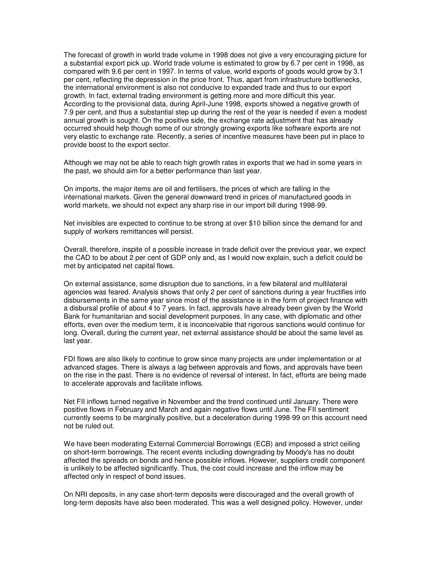The forecast of growth in world trade volume in 1998 does not give a very encouraging picture for a substantial export pick up. World trade volume is estimated to grow by 6.7 per cent in 1998, as compared with 9.6 per cent in 1997. In terms of value, world exports of goods would grow by 3.1 per cent, reflecting the depression in the price front. Thus, apart from infrastructure bottlenecks, the international environment is also not conducive to expanded trade and thus to our export growth. In fact, external trading environment is getting more and more difficult this year. According to the provisional data, during April-June 1998, exports showed a negative growth of 7.9 per cent, and thus a substantial step up during the rest of the year is needed if even a modest annual growth is sought. On the positive side, the exchange rate adjustment that has already occurred should help though some of our strongly growing exports like software exports are not very elastic to exchange rate. Recently, a series of incentive measures have been put in place to provide boost to the export sector.

Although we may not be able to reach high growth rates in exports that we had in some years in the past, we should aim for a better performance than last year.

On imports, the major items are oil and fertilisers, the prices of which are falling in the international markets. Given the general downward trend in prices of manufactured goods in world markets, we should not expect any sharp rise in our import bill during 1998-99.

Net invisibles are expected to continue to be strong at over \$10 billion since the demand for and supply of workers remittances will persist.

Overall, therefore, inspite of a possible increase in trade deficit over the previous year, we expect the CAD to be about 2 per cent of GDP only and, as I would now explain, such a deficit could be met by anticipated net capital flows.

On external assistance, some disruption due to sanctions, in a few bilateral and multilateral agencies was feared. Analysis shows that only 2 per cent of sanctions during a year fructifies into disbursements in the same year since most of the assistance is in the form of project finance with a disbursal profile of about 4 to 7 years. In fact, approvals have already been given by the World Bank for humanitarian and social development purposes. In any case, with diplomatic and other efforts, even over the medium term, it is inconceivable that rigorous sanctions would continue for long. Overall, during the current year, net external assistance should be about the same level as last year.

FDI flows are also likely to continue to grow since many projects are under implementation or at advanced stages. There is always a lag between approvals and flows, and approvals have been on the rise in the past. There is no evidence of reversal of interest. In fact, efforts are being made to accelerate approvals and facilitate inflows.

Net FII inflows turned negative in November and the trend continued until January. There were positive flows in February and March and again negative flows until June. The FII sentiment currently seems to be marginally positive, but a deceleration during 1998-99 on this account need not be ruled out.

We have been moderating External Commercial Borrowings (ECB) and imposed a strict ceiling on short-term borrowings. The recent events including downgrading by Moody's has no doubt affected the spreads on bonds and hence possible inflows. However, suppliers credit component is unlikely to be affected significantly. Thus, the cost could increase and the inflow may be affected only in respect of bond issues.

On NRI deposits, in any case short-term deposits were discouraged and the overall growth of long-term deposits have also been moderated. This was a well designed policy. However, under